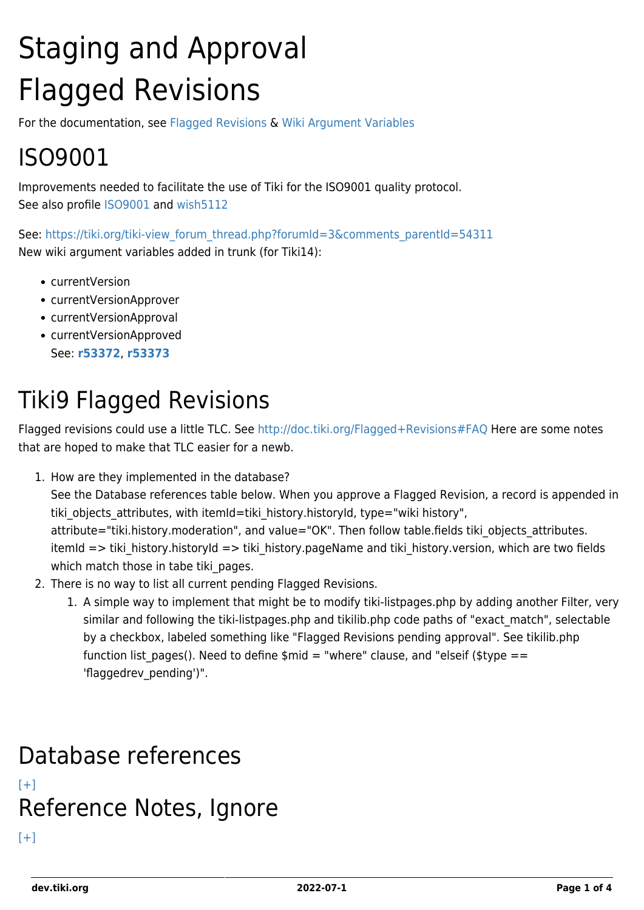# Staging and Approval Flagged Revisions

For the documentation, see [Flagged Revisions](http://doc.tiki.org/Flagged%20Revisions) & [Wiki Argument Variables](http://doc.tiki.org/Wiki%20Argument%20Variables)

## ISO9001

Improvements needed to facilitate the use of Tiki for the ISO9001 quality protocol. See also profile [ISO9001](http://profiles.tiki.org/ISO9001) and [wish5112](https://dev.tiki.org/wish5112)

See: [https://tiki.org/tiki-view\\_forum\\_thread.php?forumId=3&comments\\_parentId=54311](https://tiki.org/tiki-view_forum_thread.php?forumId=3&comments_parentId=54311) New wiki argument variables added in trunk (for Tiki14):

- currentVersion
- currentVersionApprover
- currentVersionApproval
- currentVersionApproved See: **[r53372](http://sourceforge.net/p/tikiwiki/code/53372)**, **[r53373](http://sourceforge.net/p/tikiwiki/code/53373)**

### Tiki9 Flagged Revisions

Flagged revisions could use a little TLC. See<http://doc.tiki.org/Flagged+Revisions#FAQ>Here are some notes that are hoped to make that TLC easier for a newb.

1. How are they implemented in the database?

See the Database references table below. When you approve a Flagged Revision, a record is appended in tiki objects attributes, with itemId=tiki history.historyId, type="wiki history", attribute="tiki.history.moderation", and value="OK". Then follow table.fields tiki objects attributes. itemId => tiki\_history.historyId => tiki\_history.pageName and tiki\_history.version, which are two fields

which match those in tabe tiki pages. 2. There is no way to list all current pending Flagged Revisions.

1. A simple way to implement that might be to modify tiki-listpages.php by adding another Filter, very similar and following the tiki-listpages.php and tikilib.php code paths of "exact match", selectable by a checkbox, labeled something like "Flagged Revisions pending approval". See tikilib.php function list pages(). Need to define  $\sin d = \sin d$  clause, and "elseif (\$type == 'flaggedrev\_pending')".

#### Database references  $[+]$ Reference Notes, Ignore  $[+]$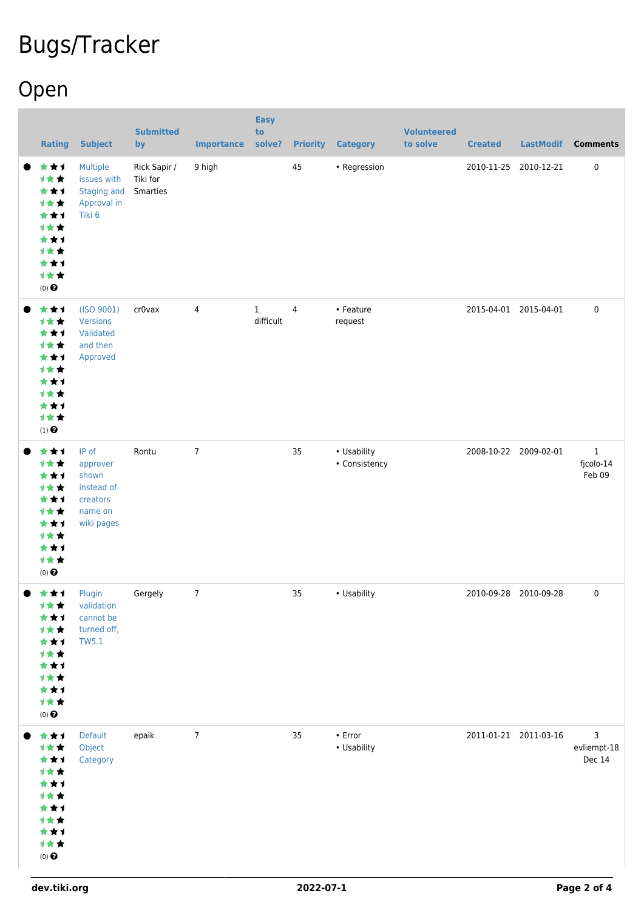## Bugs/Tracker

## Open

| <b>Rating</b>                                                                                          | <b>Subject</b>                                                                | <b>Submitted</b><br>by               | <b>Importance</b> | <b>Easy</b><br>to<br>solve? |    | <b>Priority Category</b>     | <b>Volunteered</b><br>to solve | <b>Created</b> | <b>LastModif</b>      | <b>Comments</b>                    |
|--------------------------------------------------------------------------------------------------------|-------------------------------------------------------------------------------|--------------------------------------|-------------------|-----------------------------|----|------------------------------|--------------------------------|----------------|-----------------------|------------------------------------|
| ***<br>计女女<br>**1<br>1★★<br>***<br>1★★<br>***<br>1★★<br>***<br>1★★<br>(0)                              | Multiple<br>issues with<br><b>Staging and</b><br>Approval in<br>Tiki 6        | Rick Sapir /<br>Tiki for<br>Smarties | 9 high            |                             | 45 | • Regression                 |                                |                | 2010-11-25 2010-12-21 | 0                                  |
| ***<br>计女女<br>***<br>1★★<br>***<br>1★★<br>***<br>1★★<br>***<br>计女女<br>$(1)$<br>$\pmb{\Theta}$          | (ISO 9001)<br>Versions<br>Validated<br>and then<br>Approved                   | cr0vax                               | 4                 | $\mathbf{1}$<br>difficult   | 4  | • Feature<br>request         |                                |                | 2015-04-01 2015-04-01 | 0                                  |
| ***<br>计女女<br>***<br>1★★<br>***<br>计女女<br>***<br>1★★<br>***<br>1★★<br>$(0)$ $\odot$                    | IP of<br>approver<br>shown<br>instead of<br>creators<br>name on<br>wiki pages | Rontu                                | $\overline{7}$    |                             | 35 | • Usability<br>• Consistency |                                |                | 2008-10-22 2009-02-01 | $\mathbf 1$<br>fjcolo-14<br>Feb 09 |
| ● ★★1<br>计女女<br>★★1<br><b>1**</b><br>***<br>1★★<br>***<br>计女女<br>***<br>计女女<br>$(0)$<br>$\pmb{\Theta}$ | Plugin<br>validation<br>cannot be<br>turned off,<br><b>TW5.1</b>              | Gergely                              | 7                 |                             | 35 | • Usability                  |                                |                | 2010-09-28 2010-09-28 | 0                                  |
| ***<br>计女女<br>***<br>计女女<br>**1<br>计女女<br>★★1<br>计女女<br>**1<br>计女女<br>$(0)$ $\odot$                    | Default<br>Object<br>Category                                                 | epaik                                | $\overline{7}$    |                             | 35 | $\cdot$ Error<br>• Usability |                                |                | 2011-01-21 2011-03-16 | 3<br>evliempt-18<br>Dec 14         |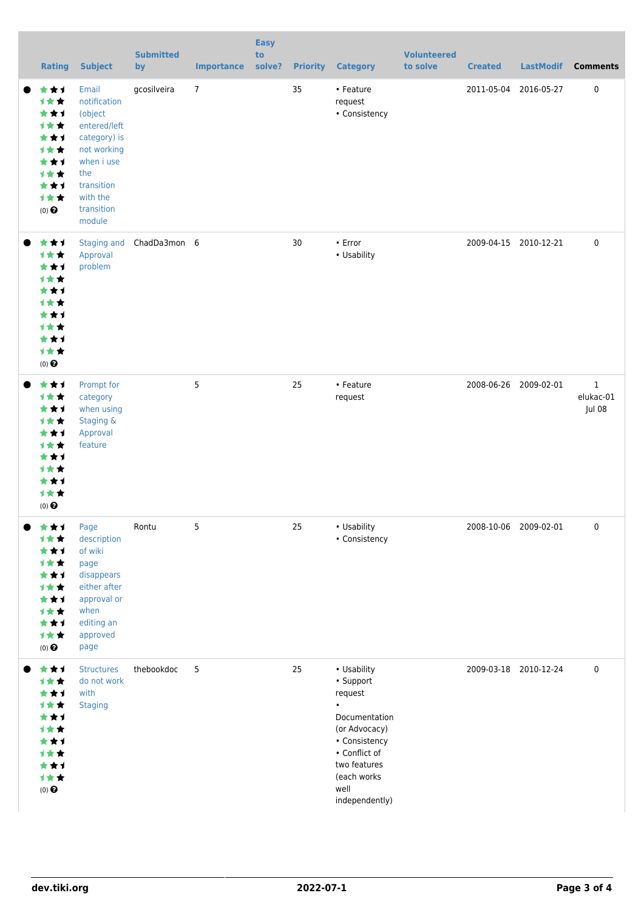|           | <b>Rating</b>                                                                                        | <b>Subject</b>                                                                                                                                         | <b>Submitted</b><br>by   | <b>Importance</b> | <b>Easy</b><br>to<br>solve? |    | <b>Priority Category</b>                                                                                                                                                      | <b>Volunteered</b><br>to solve | <b>Created</b>        | <b>LastModif</b>      | <b>Comments</b>                    |
|-----------|------------------------------------------------------------------------------------------------------|--------------------------------------------------------------------------------------------------------------------------------------------------------|--------------------------|-------------------|-----------------------------|----|-------------------------------------------------------------------------------------------------------------------------------------------------------------------------------|--------------------------------|-----------------------|-----------------------|------------------------------------|
| $\bullet$ | 大女子<br>计女女<br>***<br>计女女<br>***<br>计女女<br>***<br>计女女<br>***<br>计女女<br>$(0)$ $\odot$                  | Email<br>notification<br>(object<br>entered/left<br>category) is<br>not working<br>when i use<br>the<br>transition<br>with the<br>transition<br>module | gcosilveira              | $\overline{7}$    |                             | 35 | • Feature<br>request<br>• Consistency                                                                                                                                         |                                | 2011-05-04            | 2016-05-27            | $\pmb{0}$                          |
|           | ***<br>计女女<br>***<br>计女女<br>***<br>计女女<br>***<br>计女女<br>***<br>十大大<br>$(0)$ $\odot$                  | Approval<br>problem                                                                                                                                    | Staging and ChadDa3mon 6 |                   |                             | 30 | $\cdot$ Error<br>• Usability                                                                                                                                                  |                                |                       | 2009-04-15 2010-12-21 | $\pmb{0}$                          |
|           | ***<br>计女女<br>***<br>计女女<br>***<br>计女女<br>***<br>计女女<br>***<br>计女女<br>$(0)$ $\odot$                  | Prompt for<br>category<br>when using<br>Staging &<br>Approval<br>feature                                                                               |                          | 5                 |                             | 25 | • Feature<br>request                                                                                                                                                          |                                | 2008-06-26 2009-02-01 |                       | $\mathbf 1$<br>elukac-01<br>Jul 08 |
|           | ★★↑<br>★<br>***<br>计女女<br>***<br>计女女<br>***<br>计女女<br>***<br>计女女<br>$(0)$ $\odot$                    | Page<br>description<br>of wiki<br>page<br>disappears<br>either after<br>approval or<br>when<br>editing an<br>approved<br>page                          | Rontu                    | 5                 |                             | 25 | • Usability<br>• Consistency                                                                                                                                                  |                                | 2008-10-06 2009-02-01 |                       | 0                                  |
|           | ***<br>计女女<br>***<br>计女女<br>★★1<br><b>1**</b><br>***<br>计女女<br>***<br>计女女<br>$(0)$<br>$\pmb{\Theta}$ | <b>Structures</b><br>do not work<br>with<br><b>Staging</b>                                                                                             | thebookdoc               | 5                 |                             | 25 | • Usability<br>• Support<br>request<br>$\bullet$<br>Documentation<br>(or Advocacy)<br>• Consistency<br>• Conflict of<br>two features<br>(each works<br>well<br>independently) |                                |                       | 2009-03-18 2010-12-24 | $\pmb{0}$                          |